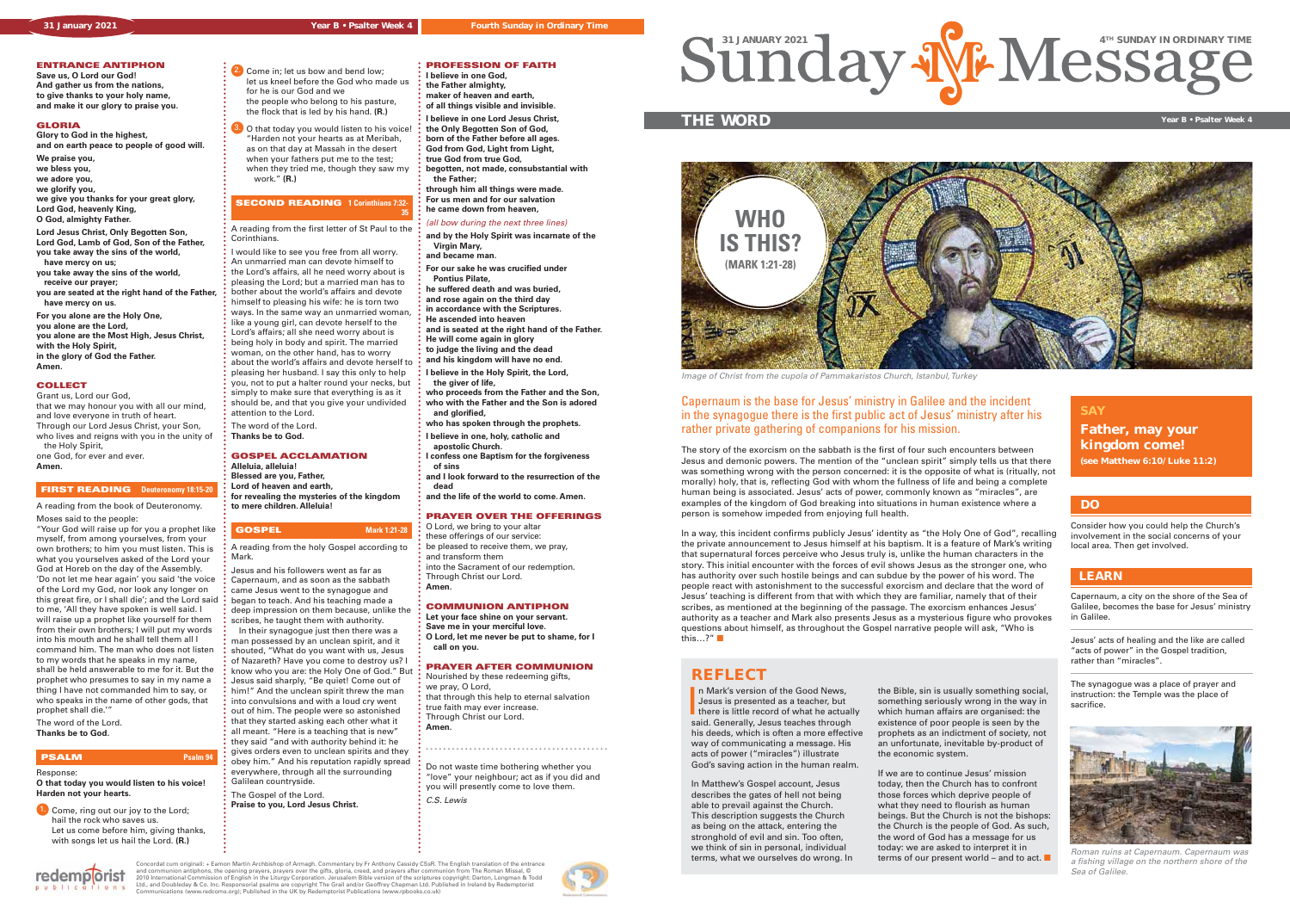#### **ENTRANCE ANTIPHON**

**Save us, O Lord our God! And gather us from the nations, to give thanks to your holy name, and make it our glory to praise you.**

#### **GLORIA**

**Glory to God in the highest, and on earth peace to people of good will.**

**We praise you, we bless you, we adore you, we glorify you, we give you thanks for your great glory, Lord God, heavenly King, O God, almighty Father.**

**Lord Jesus Christ, Only Begotten Son, Lord God, Lamb of God, Son of the Father, you take away the sins of the world, have mercy on us; you take away the sins of the world,** 

 **receive our prayer; you are seated at the right hand of the Father,** 

 **have mercy on us.**

**For you alone are the Holy One, you alone are the Lord, you alone are the Most High, Jesus Christ, with the Holy Spirit, in the glory of God the Father. Amen.**

1. Come, ring out our joy to the Lord; hail the rock who saves us. Let us come before him, giving thanks, with songs let us hail the Lord. **(R.)**

#### **COLLECT**

2. Come in; let us bow and bend low; let us kneel before the God who made us for he is our God and we the people who belong to his pasture the flock that is led by his hand. **(R.)**

Grant us, Lord our God, that we may honour you with all our mind, and love everyone in truth of heart. Through our Lord Jesus Christ, your Son, who lives and reigns with you in the unity of the Holy Spirit,

A reading from the first letter of St Paul to the **Corinthians** 

one God, for ever and ever. **Amen.**

## **FIRST READING** Deuteronomy 18:15-20

A reading from the book of Deuteronomy. Moses said to the people:

"Your God will raise up for you a prophet like myself, from among yourselves, from your own brothers; to him you must listen. This is what you yourselves asked of the Lord your God at Horeb on the day of the Assembly. 'Do not let me hear again' you said 'the voice of the Lord my God, nor look any longer on this great fire, or I shall die'; and the Lord said to me, 'All they have spoken is well said. I will raise up a prophet like yourself for them from their own brothers; I will put my words into his mouth and he shall tell them all I command him. The man who does not listen to my words that he speaks in my name, shall be held answerable to me for it. But the prophet who presumes to say in my name a thing I have not commanded him to say, or who speaks in the name of other gods, that prophet shall die.'"

The word of the Lord. **Thanks be to God.** 

#### **PSALM Psalm 94**

#### Response:

**O that today you would listen to his voice! Harden not your hearts.**

3. O that today you would listen to his voice! "Harden not your hearts as at Meribah, as on that day at Massah in the desert when your fathers put me to the test; when they tried me, though they saw my work." **(R.)**

## **SECOND READING 1 Corinthians 7:32-**

**35**

I would like to see you free from all worry. An unmarried man can devote himself to the Lord's affairs, all he need worry about is pleasing the Lord; but a married man has to bother about the world's affairs and devote himself to pleasing his wife: he is torn two ways. In the same way an unmarried woman, like a young girl, can devote herself to the Lord's affairs; all she need worry about is being holy in body and spirit. The married woman, on the other hand, has to worry about the world's affairs and devote herself to pleasing her husband. I say this only to help you, not to put a halter round your necks, but simply to make sure that everything is as it should be, and that you give your undivided attention to the Lord.

> In a way, this incident confirms publicly Jesus' identity as "the Holy One of God", recalling the private announcement to Jesus himself at his baptism. It is a feature of Mark's writing that supernatural forces perceive who Jesus truly is, unlike the human characters in the story. This initial encounter with the forces of evil shows Jesus as the stronger one, who has authority over such hostile beings and can subdue by the power of his word. The people react with astonishment to the successful exorcism and declare that the word of Jesus' teaching is different from that with which they are familiar, namely that of their scribes, as mentioned at the beginning of the passage. The exorcism enhances Jesus' authority as a teacher and Mark also presents Jesus as a mysterious figure who provokes questions about himself, as throughout the Gospel narrative people will ask, "Who is this… $2'' \square$

The word of the Lord.

#### **Thanks be to God.**

#### **GOSPEL ACCLAMATION Alleluia, alleluia!**

**Blessed are you, Father, Lord of heaven and earth, for revealing the mysteries of the kingdom**

**to mere children. Alleluia! GOSPEL Mark 1:21-28** A reading from the holy Gospel according to Mark. Jesus and his followers went as far as

Capernaum, and as soon as the sabbath came Jesus went to the synagogue and began to teach. And his teaching made a deep impression on them because, unlike the scribes, he taught them with authority. In their synagogue just then there was a

> n Mark's version of the Good News,<br>Jesus is presented as a teacher, but<br>there is little record of what he actual<br>said. Generally, Jesus teaches through n Mark's version of the Good News, Jesus is presented as a teacher, but there is little record of what he actually his deeds, which is often a more effective way of communicating a message. His acts of power ("miracles") illustrate God's saving action in the human realm.

If we are to continue Jesus' mission today, then the Church has to confront those forces which deprive people of what they need to flourish as human beings. But the Church is not the bishops: the Church is the people of God. As such, the word of God has a message for us today: we are asked to interpret it in terms of our present world – and to act.  $\blacksquare$ 

man possessed by an unclean spirit, and it shouted, "What do you want with us, Jesus of Nazareth? Have you come to destroy us? I know who you are: the Holy One of God." But Jesus said sharply, "Be quiet! Come out of him!" And the unclean spirit threw the man into convulsions and with a loud cry went out of him. The people were so astonished that they started asking each other what it all meant. "Here is a teaching that is new" they said "and with authority behind it: he gives orders even to unclean spirits and they obey him." And his reputation rapidly spread everywhere, through all the surrounding Galilean countryside.

The Gospel of the Lord. **Praise to you, Lord Jesus Christ.**

redemporist

**PROFESSION OF FAITH**

**I believe in one God, the Father almighty, maker of heaven and earth, of all things visible and invisible. I believe in one Lord Jesus Christ, the Only Begotten Son of God, born of the Father before all ages. God from God, Light from Light, true God from true God,**

**begotten, not made, consubstantial with** 

 **the Father;**

**through him all things were made. For us men and for our salvation he came down from heaven,** (all bow during the next three lines) **and by the Holy Spirit was incarnate of the** 

 **Virgin Mary, and became man.**

**For our sake he was crucified under** 

 **Pontius Pilate,**

**he suffered death and was buried, and rose again on the third day in accordance with the Scriptures. He ascended into heaven** 

**and is seated at the right hand of the Father.**

**He will come again in glory to judge the living and the dead and his kingdom will have no end. I believe in the Holy Spirit, the Lord,** 

 **the giver of life,**

**who proceeds from the Father and the Son, who with the Father and the Son is adored** 

 **and glorified,** 

**who has spoken through the prophets. I believe in one, holy, catholic and** 

 **apostolic Church.**

**I confess one Baptism for the forgiveness** 

 **of sins**

**and I look forward to the resurrection of the** 

 **dead** 

**and the life of the world to come. Amen.**

#### **PRAYER OVER THE OFFERINGS**

O Lord, we bring to your altar these offerings of our service: be pleased to receive them, we pray, and transform them into the Sacrament of our redemption. Through Christ our Lord. **Amen.**

#### **COMMUNION ANTIPHON**

**Let your face shine on your servant. Save me in your merciful love. O Lord, let me never be put to shame, for I call on you.**

#### **PRAYER AFTER COMMUNION**

Nourished by these redeeming gifts, we pray, O Lord, that through this help to eternal salvation true faith may ever increase. Through Christ our Lord. **Amen.**

Do not waste time bothering whether you "love" your neighbour; act as if you did and you will presently come to love them. C.S. Lewis

Concordat cum originali: + Eamon Martin Archbishop of Armagh. Commentary by Fr Anthony Cassidy CSsR. The English translation of the entrance<br>and communion antiphons, the opening prayers, prayers over the gifts, gloria, rer





## Capernaum is the base for Jesus' ministry in Galilee and the incident in the synagogue there is the first public act of Jesus' ministry after his rather private gathering of companions for his mission.

The story of the exorcism on the sabbath is the first of four such encounters between Jesus and demonic powers. The mention of the "unclean spirit" simply tells us that there was something wrong with the person concerned: it is the opposite of what is (ritually, not morally) holy, that is, reflecting God with whom the fullness of life and being a complete human being is associated. Jesus' acts of power, commonly known as "miracles", are examples of the kingdom of God breaking into situations in human existence where a person is somehow impeded from enjoying full health.

In Matthew's Gospel account, Jesus describes the gates of hell not being able to prevail against the Church. This description suggests the Church as being on the attack, entering the stronghold of evil and sin. Too often, we think of sin in personal, individual terms, what we ourselves do wrong. In

the Bible, sin is usually something social, something seriously wrong in the way in which human affairs are organised: the existence of poor people is seen by the prophets as an indictment of society, not an unfortunate, inevitable by-product of the economic system.

## **REFLECT**

# **4TH SUNDAY IN ORDINARY TIME 31 JANUARY 2021**

## **THE WORD Year B • Psalter Week 4**

### **SAY**

## **Father, may your kingdom come! (see Matthew 6:10/Luke 11:2)**

Capernaum, a city on the shore of the Sea of Galilee, becomes the base for Jesus' ministry in Galilee.

Jesus' acts of healing and the like are called "acts of power" in the Gospel tradition, rather than "miracles".

The synagogue was a place of prayer and instruction: the Temple was the place of sacrifice.

## **LEARN**

Consider how you could help the Church's involvement in the social concerns of your local area. Then get involved.

#### **DO**



Image of Christ from the cupola of Pammakaristos Church, Istanbul, Turkey



Roman ruins at Capernaum. Capernaum was a fishing village on the northern shore of the Sea of Galilee.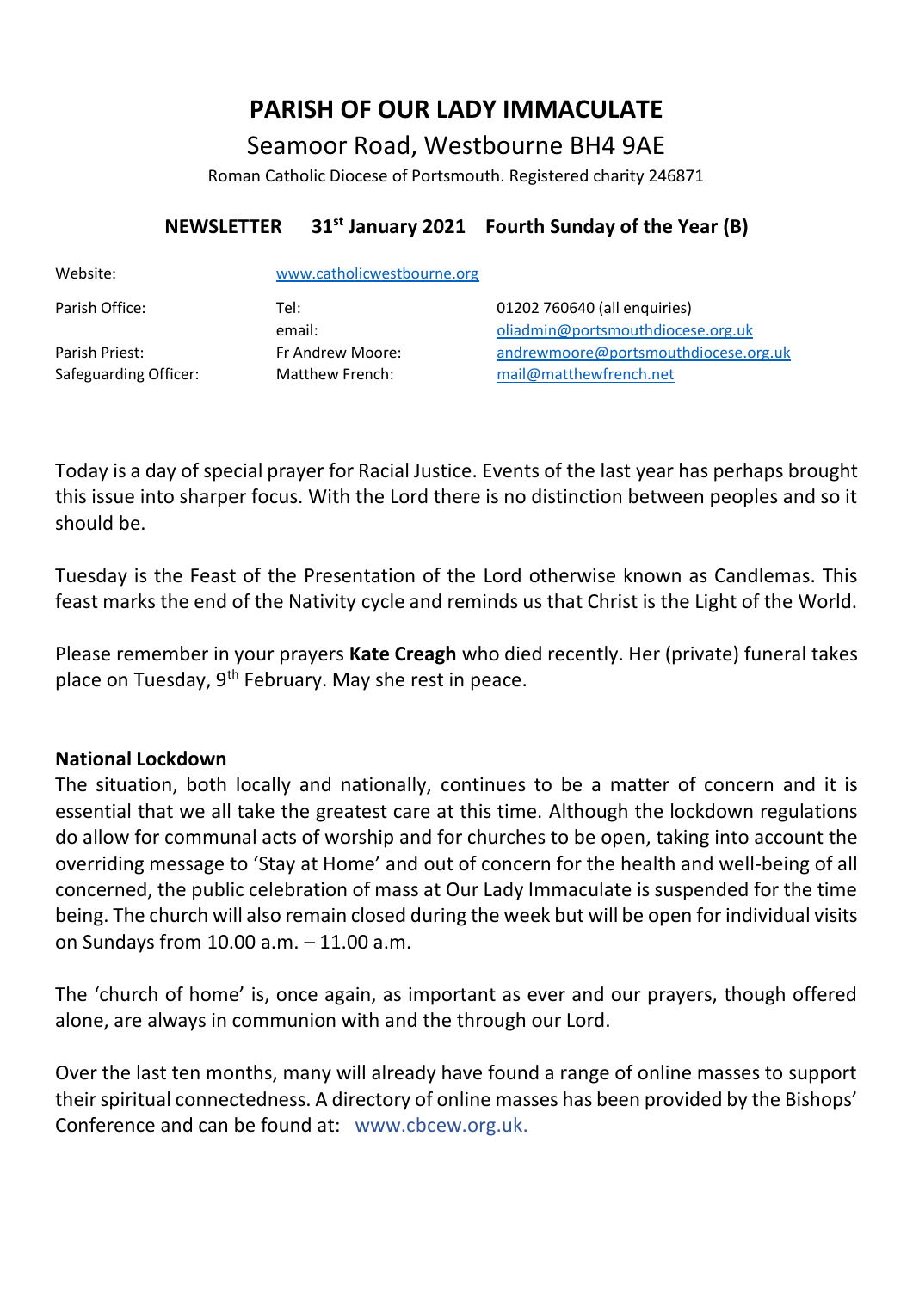## **PARISH OF OUR LADY IMMACULATE**

Seamoor Road, Westbourne BH4 9AE

Roman Catholic Diocese of Portsmouth. Registered charity 246871

## **NEWSLETTER 31st January 2021 Fourth Sunday of the Year (B)**

| Website:                                | www.catholicwestbourne.org          |                                                                   |
|-----------------------------------------|-------------------------------------|-------------------------------------------------------------------|
| Parish Office:                          | Tel:<br>email:                      | 01202 760640 (all enquiries)<br>oliadmin@portsmouthdiocese.org.uk |
| Parish Priest:<br>Safeguarding Officer: | Fr Andrew Moore:<br>Matthew French: | andrewmoore@portsmouthdiocese.org.uk<br>mail@matthewfrench.net    |

Today is a day of special prayer for Racial Justice. Events of the last year has perhaps brought this issue into sharper focus. With the Lord there is no distinction between peoples and so it should be.

Tuesday is the Feast of the Presentation of the Lord otherwise known as Candlemas. This feast marks the end of the Nativity cycle and reminds us that Christ is the Light of the World.

Please remember in your prayers **Kate Creagh** who died recently. Her (private) funeral takes place on Tuesday, 9th February. May she rest in peace.

## **National Lockdown**

The situation, both locally and nationally, continues to be a matter of concern and it is essential that we all take the greatest care at this time. Although the lockdown regulations do allow for communal acts of worship and for churches to be open, taking into account the overriding message to 'Stay at Home' and out of concern for the health and well-being of all concerned, the public celebration of mass at Our Lady Immaculate is suspended for the time being. The church will also remain closed during the week but will be open for individual visits on Sundays from 10.00 a.m. – 11.00 a.m.

The 'church of home' is, once again, as important as ever and our prayers, though offered alone, are always in communion with and the through our Lord.

Over the last ten months, many will already have found a range of online masses to support their spiritual connectedness. A directory of online masses has been provided by the Bishops' Conference and can be found at: www.cbcew.org.uk.